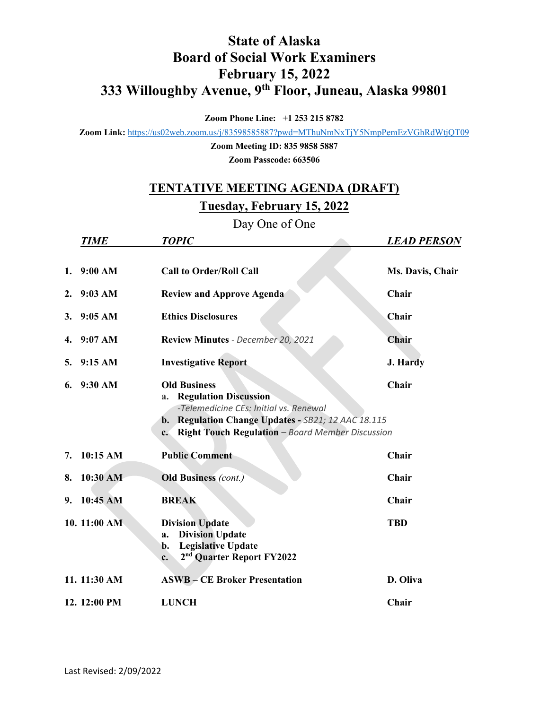## **State of Alaska Board of Social Work Examiners February 15, 2022 333 Willoughby Avenue, 9th Floor, Juneau, Alaska 99801**

**Zoom Phone Line: +1 253 215 8782**

**Zoom Link:** <https://us02web.zoom.us/j/83598585887?pwd=MThuNmNxTjY5NmpPemEzVGhRdWtjQT09>

**Zoom Meeting ID: 835 9858 5887 Zoom Passcode: 663506**

## **TENTATIVE MEETING AGENDA (DRAFT)**

## **Tuesday, February 15, 2022**

Day One of One

|    | <b>TIME</b>       | <b>TOPIC</b>                                                                                                                                                                                                                                | <b>LEAD PERSON</b> |
|----|-------------------|---------------------------------------------------------------------------------------------------------------------------------------------------------------------------------------------------------------------------------------------|--------------------|
|    |                   |                                                                                                                                                                                                                                             |                    |
| 1. | 9:00 AM           | <b>Call to Order/Roll Call</b>                                                                                                                                                                                                              | Ms. Davis, Chair   |
| 2. | $9:03 \text{ AM}$ | <b>Review and Approve Agenda</b>                                                                                                                                                                                                            | Chair              |
| 3. | 9:05 AM           | <b>Ethics Disclosures</b>                                                                                                                                                                                                                   | Chair              |
| 4. | 9:07 AM           | Review Minutes - December 20, 2021                                                                                                                                                                                                          | Chair              |
| 5. | 9:15 AM           | <b>Investigative Report</b>                                                                                                                                                                                                                 | <b>J. Hardy</b>    |
| 6. | 9:30 AM           | <b>Old Business</b><br><b>Regulation Discussion</b><br>a.<br>-Telemedicine CEs: Initial vs. Renewal<br>Regulation Change Updates - SB21; 12 AAC 18.115<br>$\mathbf{b}$ .<br>Right Touch Regulation - Board Member Discussion<br>$c_{\cdot}$ | Chair              |
| 7. | 10:15 AM          | <b>Public Comment</b>                                                                                                                                                                                                                       | Chair              |
| 8. | $10:30$ AM        | <b>Old Business (cont.)</b>                                                                                                                                                                                                                 | Chair              |
| 9. | 10:45 AM          | <b>BREAK</b>                                                                                                                                                                                                                                | Chair              |
|    | 10. 11:00 AM      | <b>Division Update</b><br><b>Division Update</b><br>a.<br><b>Legislative Update</b><br>b.<br>2 <sup>nd</sup> Quarter Report FY2022<br>c.                                                                                                    | <b>TBD</b>         |
|    | 11. 11:30 AM      | <b>ASWB-CE Broker Presentation</b>                                                                                                                                                                                                          | D. Oliva           |
|    | 12. 12:00 PM      | <b>LUNCH</b>                                                                                                                                                                                                                                | Chair              |